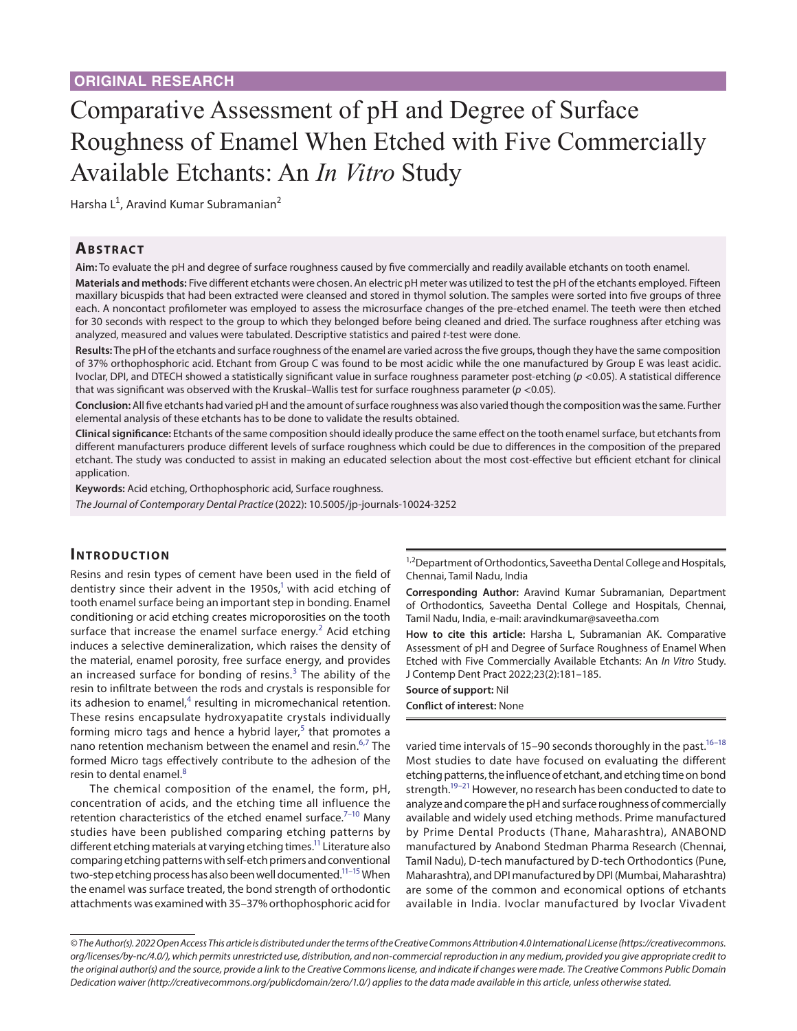# Comparative Assessment of pH and Degree of Surface Roughness of Enamel When Etched with Five Commercially Available Etchants: An *In Vitro* Study

Harsha L<sup>1</sup>, Aravind Kumar Subramanian<sup>2</sup>

## **ABSTRACT**

**Aim:** To evaluate the pH and degree of surface roughness caused by five commercially and readily available etchants on tooth enamel.

**Materials and methods:** Five different etchants were chosen. An electric pH meter was utilized to test the pH of the etchants employed. Fifteen maxillary bicuspids that had been extracted were cleansed and stored in thymol solution. The samples were sorted into five groups of three each. A noncontact profilometer was employed to assess the microsurface changes of the pre-etched enamel. The teeth were then etched for 30 seconds with respect to the group to which they belonged before being cleaned and dried. The surface roughness after etching was analyzed, measured and values were tabulated. Descriptive statistics and paired *t*-test were done.

**Results:** The pH of the etchants and surface roughness of the enamel are varied across the five groups, though they have the same composition of 37% orthophosphoric acid. Etchant from Group C was found to be most acidic while the one manufactured by Group E was least acidic. Ivoclar, DPI, and DTECH showed a statistically significant value in surface roughness parameter post-etching (*p* <0.05). A statistical difference that was significant was observed with the Kruskal–Wallis test for surface roughness parameter (*p* <0.05).

**Conclusion:** All five etchants had varied pH and the amount of surface roughness was also varied though the composition was the same. Further elemental analysis of these etchants has to be done to validate the results obtained.

**Clinical significance:** Etchants of the same composition should ideally produce the same effect on the tooth enamel surface, but etchants from different manufacturers produce different levels of surface roughness which could be due to differences in the composition of the prepared etchant. The study was conducted to assist in making an educated selection about the most cost-effective but efficient etchant for clinical application.

**Keywords:** Acid etching, Orthophosphoric acid, Surface roughness.

*The Journal of Contemporary Dental Practice* (2022): 10.5005/jp-journals-10024-3252

#### **INTRODUCTION**

Resins and resin types of cement have been used in the field of dentistry since their advent in the 1950s,<sup>1</sup> with acid etching of tooth enamel surface being an important step in bonding. Enamel conditioning or acid etching creates microporosities on the tooth surface that increase the enamel surface energy.<sup>[2](#page-3-1)</sup> Acid etching induces a selective demineralization, which raises the density of the material, enamel porosity, free surface energy, and provides an increased surface for bonding of resins. $3$  The ability of the resin to infiltrate between the rods and crystals is responsible for its adhesion to enamel, $4$  resulting in micromechanical retention. These resins encapsulate hydroxyapatite crystals individually forming micro tags and hence a hybrid layer,<sup>[5](#page-4-2)</sup> that promotes a nano retention mechanism between the enamel and resin.<sup>[6](#page-4-3),[7](#page-4-4)</sup> The formed Micro tags effectively contribute to the adhesion of the resin to dental enamel.<sup>[8](#page-4-5)</sup>

The chemical composition of the enamel, the form, pH, concentration of acids, and the etching time all influence the retention characteristics of the etched enamel surface. $7-10$  Many studies have been published comparing etching patterns by different etching materials at varying etching times.<sup>11</sup> Literature also comparing etching patterns with self-etch primers and conventional two-step etching process has also been well documented.<sup>11-15</sup> When the enamel was surface treated, the bond strength of orthodontic attachments was examined with 35–37% orthophosphoric acid for

<sup>1,2</sup>Department of Orthodontics, Saveetha Dental College and Hospitals, Chennai, Tamil Nadu, India

**Corresponding Author:** Aravind Kumar Subramanian, Department of Orthodontics, Saveetha Dental College and Hospitals, Chennai, Tamil Nadu, India, e-mail: aravindkumar@saveetha.com

**How to cite this article:** Harsha L, Subramanian AK. Comparative Assessment of pH and Degree of Surface Roughness of Enamel When Etched with Five Commercially Available Etchants: An *In Vitro* Study. J Contemp Dent Pract 2022;23(2):181–185.

**Source of support:** Nil **Conflict of interest:** None

varied time intervals of 15–90 seconds thoroughly in the past.<sup>16–[18](#page-4-10)</sup> Most studies to date have focused on evaluating the different etching patterns, the influence of etchant, and etching time on bond strength.<sup>19-21</sup> However, no research has been conducted to date to analyze and compare the pH and surface roughness of commercially available and widely used etching methods. Prime manufactured by Prime Dental Products (Thane, Maharashtra), ANABOND manufactured by Anabond Stedman Pharma Research (Chennai, Tamil Nadu), D-tech manufactured by D-tech Orthodontics (Pune, Maharashtra), and DPI manufactured by DPI (Mumbai, Maharashtra) are some of the common and economical options of etchants available in India. Ivoclar manufactured by Ivoclar Vivadent

*<sup>©</sup> The Author(s). 2022 Open Access This article is distributed under the terms of the Creative Commons Attribution 4.0 International License ([https://creativecommons.](https://creativecommons.org/licenses/by-nc/4.0/) [org/licenses/by-nc/4.0/](https://creativecommons.org/licenses/by-nc/4.0/)), which permits unrestricted use, distribution, and non-commercial reproduction in any medium, provided you give appropriate credit to the original author(s) and the source, provide a link to the Creative Commons license, and indicate if changes were made. The Creative Commons Public Domain Dedication waiver ([http://creativecommons.org/publicdomain/zero/1.0/\)](http://creativecommons.org/publicdomain/zero/1.0/) applies to the data made available in this article, unless otherwise stated.*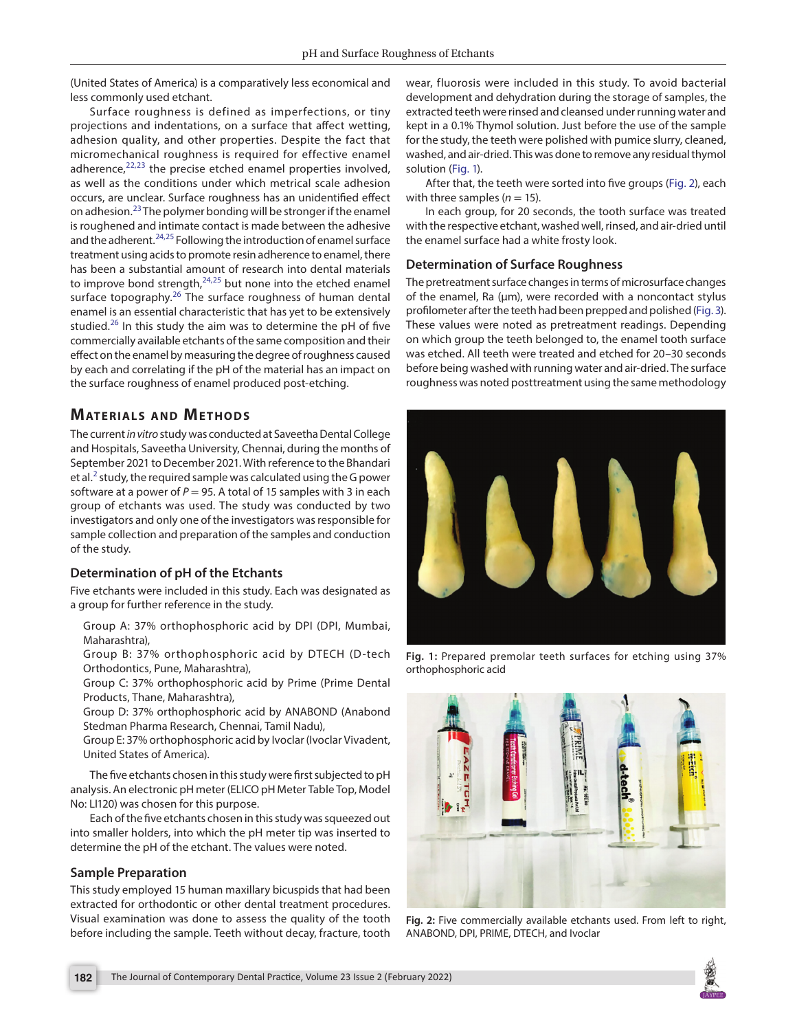(United States of America) is a comparatively less economical and less commonly used etchant.

Surface roughness is defined as imperfections, or tiny projections and indentations, on a surface that affect wetting, adhesion quality, and other properties. Despite the fact that micromechanical roughness is required for effective enamel adherence, $22,23$  $22,23$  the precise etched enamel properties involved, as well as the conditions under which metrical scale adhesion occurs, are unclear. Surface roughness has an unidentified effect on adhesion.[23](#page-4-14) The polymer bonding will be stronger if the enamel is roughened and intimate contact is made between the adhesive and the adherent.<sup>[24,](#page-4-15)25</sup> Following the introduction of enamel surface treatment using acids to promote resin adherence to enamel, there has been a substantial amount of research into dental materials to improve bond strength, $24,25$  $24,25$  $24,25$  but none into the etched enamel surface topography.<sup>[26](#page-4-17)</sup> The surface roughness of human dental enamel is an essential characteristic that has yet to be extensively studied.<sup>[26](#page-4-17)</sup> In this study the aim was to determine the pH of five commercially available etchants of the same composition and their effect on the enamel by measuring the degree of roughness caused by each and correlating if the pH of the material has an impact on the surface roughness of enamel produced post-etching.

# **MATERIALS AND METHODS**

The current *in vitro* study was conducted at Saveetha Dental College and Hospitals, Saveetha University, Chennai, during the months of September 2021 to December 2021. With reference to the Bhandari et al.<sup>[2](#page-3-1)</sup> study, the required sample was calculated using the G power software at a power of *P* = 95. A total of 15 samples with 3 in each group of etchants was used. The study was conducted by two investigators and only one of the investigators was responsible for sample collection and preparation of the samples and conduction of the study.

## **Determination of pH of the Etchants**

Five etchants were included in this study. Each was designated as a group for further reference in the study.

Group A: 37% orthophosphoric acid by DPI (DPI, Mumbai, Maharashtra),

Group B: 37% orthophosphoric acid by DTECH (D-tech Orthodontics, Pune, Maharashtra),

Group C: 37% orthophosphoric acid by Prime (Prime Dental Products, Thane, Maharashtra),

Group D: 37% orthophosphoric acid by ANABOND (Anabond Stedman Pharma Research, Chennai, Tamil Nadu),

Group E: 37% orthophosphoric acid by Ivoclar (Ivoclar Vivadent, United States of America).

The five etchants chosen in this study were first subjected to pH analysis. An electronic pH meter (ELICO pH Meter Table Top, Model No: LI120) was chosen for this purpose.

Each of the five etchants chosen in this study was squeezed out into smaller holders, into which the pH meter tip was inserted to determine the pH of the etchant. The values were noted.

## **Sample Preparation**

This study employed 15 human maxillary bicuspids that had been extracted for orthodontic or other dental treatment procedures. Visual examination was done to assess the quality of the tooth before including the sample. Teeth without decay, fracture, tooth

wear, fluorosis were included in this study. To avoid bacterial development and dehydration during the storage of samples, the extracted teeth were rinsed and cleansed under running water and kept in a 0.1% Thymol solution. Just before the use of the sample for the study, the teeth were polished with pumice slurry, cleaned, washed, and air-dried. This was done to remove any residual thymol solution [\(Fig. 1\)](#page-1-0).

After that, the teeth were sorted into five groups [\(Fig. 2\)](#page-1-1), each with three samples  $(n = 15)$ .

In each group, for 20 seconds, the tooth surface was treated with the respective etchant, washed well, rinsed, and air-dried until the enamel surface had a white frosty look.

## **Determination of Surface Roughness**

The pretreatment surface changes in terms of microsurface changes of the enamel, Ra (um), were recorded with a noncontact stylus profilometer after the teeth had been prepped and polished [\(Fig. 3\)](#page-2-0). These values were noted as pretreatment readings. Depending on which group the teeth belonged to, the enamel tooth surface was etched. All teeth were treated and etched for 20–30 seconds before being washed with running water and air-dried. The surface roughness was noted posttreatment using the same methodology



**Fig. 1:** Prepared premolar teeth surfaces for etching using 37% orthophosphoric acid

<span id="page-1-1"></span><span id="page-1-0"></span>

**Fig. 2:** Five commercially available etchants used. From left to right, ANABOND, DPI, PRIME, DTECH, and Ivoclar

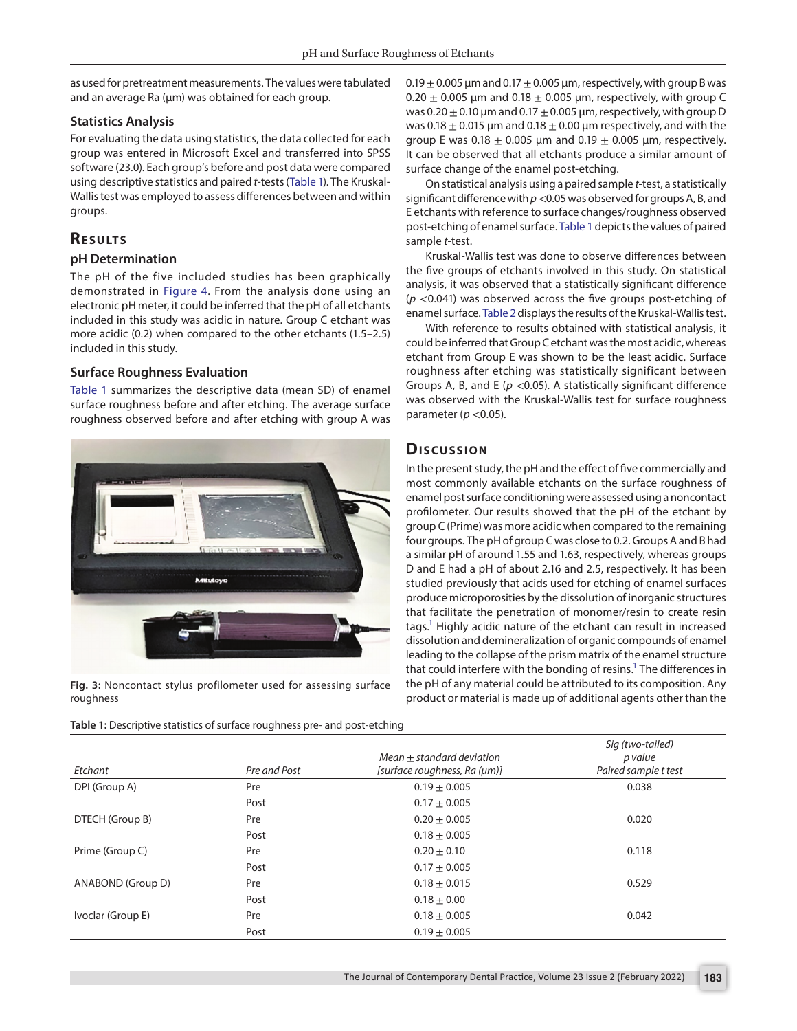as used for pretreatment measurements. The values were tabulated and an average Ra (µm) was obtained for each group.

## **Statistics Analysis**

For evaluating the data using statistics, the data collected for each group was entered in Microsoft Excel and transferred into SPSS software (23.0). Each group's before and post data were compared using descriptive statistics and paired *t*-tests ([Table 1](#page-2-1)). The Kruskal-Wallis test was employed to assess differences between and within groups.

# **RESULTS**

#### **pH Determination**

The pH of the five included studies has been graphically demonstrated in [Figure 4.](#page-3-2) From the analysis done using an electronic pH meter, it could be inferred that the pH of all etchants included in this study was acidic in nature. Group C etchant was more acidic (0.2) when compared to the other etchants (1.5–2.5) included in this study.

## **Surface Roughness Evaluation**

[Table 1](#page-2-1) summarizes the descriptive data (mean SD) of enamel surface roughness before and after etching. The average surface roughness observed before and after etching with group A was



**Fig. 3:** Noncontact stylus profilometer used for assessing surface roughness

<span id="page-2-1"></span><span id="page-2-0"></span>**Table 1:** Descriptive statistics of surface roughness pre- and post-etching

 $0.19 \pm 0.005$  µm and  $0.17 \pm 0.005$  µm, respectively, with group B was  $0.20 \pm 0.005$  µm and  $0.18 \pm 0.005$  µm, respectively, with group C was 0.20  $\pm$  0.10 µm and 0.17  $\pm$  0.005 µm, respectively, with group D was 0.18  $\pm$  0.015 µm and 0.18  $\pm$  0.00 µm respectively, and with the group E was  $0.18 \pm 0.005$  µm and  $0.19 \pm 0.005$  µm, respectively. It can be observed that all etchants produce a similar amount of surface change of the enamel post-etching.

On statistical analysis using a paired sample *t*-test, a statistically significant difference with *p*<0.05 was observed for groups A, B, and E etchants with reference to surface changes/roughness observed post-etching of enamel surface. [Table 1](#page-2-1) depicts the values of paired sample *t*-test.

Kruskal-Wallis test was done to observe differences between the five groups of etchants involved in this study. On statistical analysis, it was observed that a statistically significant difference (*p* <0.041) was observed across the five groups post-etching of enamel surface. [Table 2](#page-3-3) displays the results of the Kruskal-Wallis test.

With reference to results obtained with statistical analysis, it could be inferred that Group C etchant was the most acidic, whereas etchant from Group E was shown to be the least acidic. Surface roughness after etching was statistically significant between Groups A, B, and E (*p* <0.05). A statistically significant difference was observed with the Kruskal-Wallis test for surface roughness parameter (*p* <0.05).

# **Dis c u s sio n**

In the present study, the pH and the effect of five commercially and most commonly available etchants on the surface roughness of enamel post surface conditioning were assessed using a noncontact profilometer. Our results showed that the pH of the etchant by group C (Prime) was more acidic when compared to the remaining four groups. The pH of group C was close to 0.2. Groups A and B had a similar pH of around 1.55 and 1.63, respectively, whereas groups D and E had a pH of about 2.16 and 2.5, respectively. It has been studied previously that acids used for etching of enamel surfaces produce microporosities by the dissolution of inorganic structures that facilitate the penetration of monomer/resin to create resin tags.<sup>1</sup> Highly acidic nature of the etchant can result in increased dissolution and demineralization of organic compounds of enamel leading to the collapse of the prism matrix of the enamel structure that could interfere with the bonding of resins.<sup>1</sup> The differences in the pH of any material could be attributed to its composition. Any product or material is made up of additional agents other than the

| Etchant           | Pre and Post | $Mean + standard deviation$<br>[surface roughness, Ra (um)] | Sig (two-tailed)<br>p value<br>Paired sample t test |
|-------------------|--------------|-------------------------------------------------------------|-----------------------------------------------------|
| DPI (Group A)     | Pre          | $0.19 + 0.005$                                              | 0.038                                               |
|                   | Post         | $0.17 \pm 0.005$                                            |                                                     |
| DTECH (Group B)   | Pre          | $0.20 + 0.005$                                              | 0.020                                               |
|                   | Post         | $0.18 \pm 0.005$                                            |                                                     |
| Prime (Group C)   | Pre          | $0.20 \pm 0.10$                                             | 0.118                                               |
|                   | Post         | $0.17 + 0.005$                                              |                                                     |
| ANABOND (Group D) | Pre          | $0.18 \pm 0.015$                                            | 0.529                                               |
|                   | Post         | $0.18 \pm 0.00$                                             |                                                     |
| Ivoclar (Group E) | Pre          | $0.18 \pm 0.005$                                            | 0.042                                               |
|                   | Post         | $0.19 + 0.005$                                              |                                                     |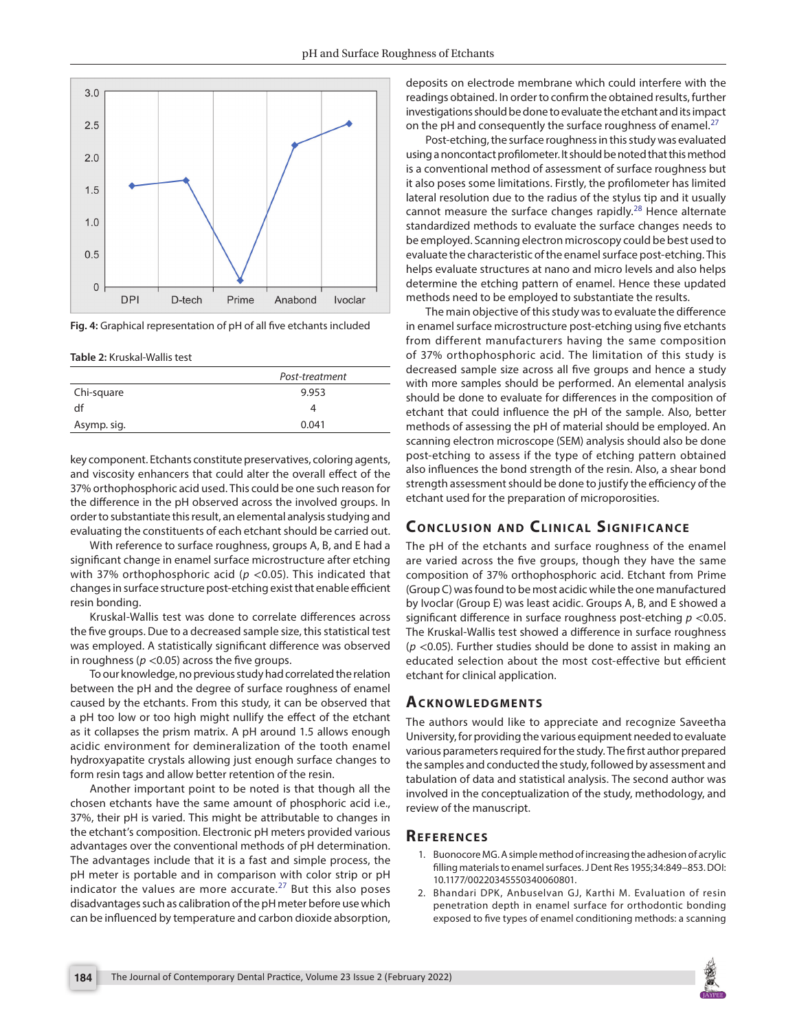

<span id="page-3-2"></span>**Fig. 4:** Graphical representation of pH of all five etchants included

<span id="page-3-3"></span>**Table 2:** Kruskal-Wallis test

|             | Post-treatment |  |
|-------------|----------------|--|
| Chi-square  | 9.953          |  |
| df          |                |  |
| Asymp. sig. | 0.041          |  |
|             |                |  |

key component. Etchants constitute preservatives, coloring agents, and viscosity enhancers that could alter the overall effect of the 37% orthophosphoric acid used. This could be one such reason for the difference in the pH observed across the involved groups. In order to substantiate this result, an elemental analysis studying and evaluating the constituents of each etchant should be carried out.

With reference to surface roughness, groups A, B, and E had a significant change in enamel surface microstructure after etching with 37% orthophosphoric acid ( $p$  <0.05). This indicated that changes in surface structure post-etching exist that enable efficient resin bonding.

Kruskal-Wallis test was done to correlate differences across the five groups. Due to a decreased sample size, this statistical test was employed. A statistically significant difference was observed in roughness ( $p < 0.05$ ) across the five groups.

To our knowledge, no previous study had correlated the relation between the pH and the degree of surface roughness of enamel caused by the etchants. From this study, it can be observed that a pH too low or too high might nullify the effect of the etchant as it collapses the prism matrix. A pH around 1.5 allows enough acidic environment for demineralization of the tooth enamel hydroxyapatite crystals allowing just enough surface changes to form resin tags and allow better retention of the resin.

Another important point to be noted is that though all the chosen etchants have the same amount of phosphoric acid i.e., 37%, their pH is varied. This might be attributable to changes in the etchant's composition. Electronic pH meters provided various advantages over the conventional methods of pH determination. The advantages include that it is a fast and simple process, the pH meter is portable and in comparison with color strip or pH indicator the values are more accurate. $27$  But this also poses disadvantages such as calibration of the pH meter before use which can be influenced by temperature and carbon dioxide absorption,

deposits on electrode membrane which could interfere with the readings obtained. In order to confirm the obtained results, further investigations should be done to evaluate the etchant and its impact on the pH and consequently the surface roughness of enamel. $^{27}$  $^{27}$  $^{27}$ 

Post-etching, the surface roughness in this study was evaluated using a noncontact profilometer. It should be noted that this method is a conventional method of assessment of surface roughness but it also poses some limitations. Firstly, the profilometer has limited lateral resolution due to the radius of the stylus tip and it usually cannot measure the surface changes rapidly. $^{28}$  Hence alternate standardized methods to evaluate the surface changes needs to be employed. Scanning electron microscopy could be best used to evaluate the characteristic of the enamel surface post-etching. This helps evaluate structures at nano and micro levels and also helps determine the etching pattern of enamel. Hence these updated methods need to be employed to substantiate the results.

The main objective of this study was to evaluate the difference in enamel surface microstructure post-etching using five etchants from different manufacturers having the same composition of 37% orthophosphoric acid. The limitation of this study is decreased sample size across all five groups and hence a study with more samples should be performed. An elemental analysis should be done to evaluate for differences in the composition of etchant that could influence the pH of the sample. Also, better methods of assessing the pH of material should be employed. An scanning electron microscope (SEM) analysis should also be done post-etching to assess if the type of etching pattern obtained also influences the bond strength of the resin. Also, a shear bond strength assessment should be done to justify the efficiency of the etchant used for the preparation of microporosities.

# **CONCLUSION AND CLINICAL SIGNIFICANCE**

The pH of the etchants and surface roughness of the enamel are varied across the five groups, though they have the same composition of 37% orthophosphoric acid. Etchant from Prime (Group C) was found to be most acidic while the one manufactured by Ivoclar (Group E) was least acidic. Groups A, B, and E showed a significant difference in surface roughness post-etching *p* <0.05. The Kruskal-Wallis test showed a difference in surface roughness (*p* <0.05). Further studies should be done to assist in making an educated selection about the most cost-effective but efficient etchant for clinical application.

#### **ACKNOWLEDGMENTS**

The authors would like to appreciate and recognize Saveetha University, for providing the various equipment needed to evaluate various parameters required for the study. The first author prepared the samples and conducted the study, followed by assessment and tabulation of data and statistical analysis. The second author was involved in the conceptualization of the study, methodology, and review of the manuscript.

## **Re f e r e n c e s**

- <span id="page-3-0"></span>1. Buonocore MG. A simple method of increasing the adhesion of acrylic filling materials to enamel surfaces. J Dent Res 1955;34:849–853. DOI: 10.1177/00220345550340060801.
- <span id="page-3-1"></span>2. Bhandari DPK, Anbuselvan GJ, Karthi M. Evaluation of resin penetration depth in enamel surface for orthodontic bonding exposed to five types of enamel conditioning methods: a scanning